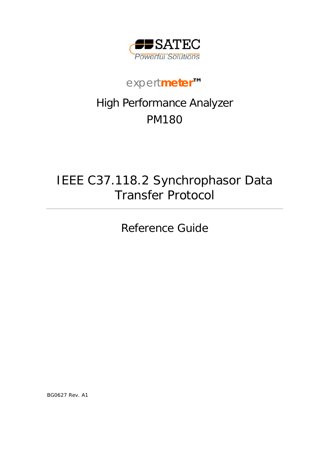

# *expert***meter***™*

# High Performance Analyzer PM180

# IEEE C37.118.2 Synchrophasor Data Transfer Protocol

Reference Guide

BG0627 Rev. A1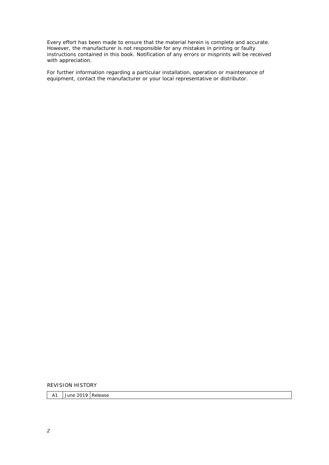Every effort has been made to ensure that the material herein is complete and accurate. However, the manufacturer is not responsible for any mistakes in printing or faulty instructions contained in this book. Notification of any errors or misprints will be received with appreciation.

For further information regarding a particular installation, operation or maintenance of equipment, contact the manufacturer or your local representative or distributor.

REVISION HISTORY

A1 June 2019 Release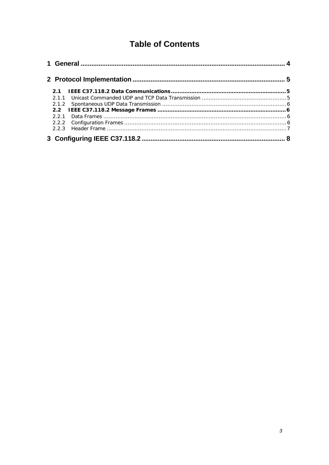# **Table of Contents**

| 2.1           |  |  |  |
|---------------|--|--|--|
|               |  |  |  |
|               |  |  |  |
| $2.2^{\circ}$ |  |  |  |
| 221           |  |  |  |
|               |  |  |  |
|               |  |  |  |
|               |  |  |  |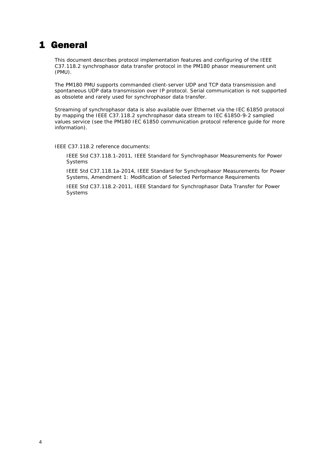## <span id="page-3-0"></span>1 General

This document describes protocol implementation features and configuring of the IEEE C37.118.2 synchrophasor data transfer protocol in the PM180 phasor measurement unit (PMU).

The PM180 PMU supports commanded client-server UDP and TCP data transmission and spontaneous UDP data transmission over IP protocol. Serial communication is not supported as obsolete and rarely used for synchrophasor data transfer.

Streaming of synchrophasor data is also available over Ethernet via the IEC 61850 protocol by mapping the IEEE C37.118.2 synchrophasor data stream to IEC 61850-9-2 sampled values service (see the PM180 IEC 61850 communication protocol reference guide for more information).

IEEE C37.118.2 reference documents:

IEEE Std C37.118.1-2011, IEEE Standard for Synchrophasor Measurements for Power Systems

IEEE Std C37.118.1a-2014, IEEE Standard for Synchrophasor Measurements for Power Systems, Amendment 1: Modification of Selected Performance Requirements

IEEE Std C37.118.2-2011, IEEE Standard for Synchrophasor Data Transfer for Power Systems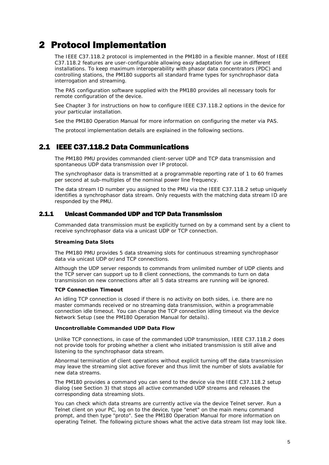# <span id="page-4-0"></span>2 Protocol Implementation

The IEEE C37.118.2 protocol is implemented in the PM180 in a flexible manner. Most of IEEE C37.118.2 features are user-configurable allowing easy adaptation for use in different installations. To keep maximum interoperability with phasor data concentrators (PDC) and controlling stations, the PM180 supports all standard frame types for synchrophasor data interrogation and streaming.

The PAS configuration software supplied with the PM180 provides all necessary tools for remote configuration of the device.

See Chapter 3 for instructions on how to configure IEEE C37.118.2 options in the device for your particular installation.

See the PM180 Operation Manual for more information on configuring the meter via PAS.

The protocol implementation details are explained in the following sections.

## 2.1 IEEE C37.118.2 Data Communications

<span id="page-4-1"></span>The PM180 PMU provides commanded client-server UDP and TCP data transmission and spontaneous UDP data transmission over IP protocol.

The synchrophasor data is transmitted at a programmable reporting rate of 1 to 60 frames per second at sub-multiples of the nominal power line frequency.

The data stream ID number you assigned to the PMU via the IEEE C37.118.2 setup uniquely identifies a synchrophasor data stream. Only requests with the matching data stream ID are responded by the PMU.

#### 2.1.1 Unicast Commanded UDP and TCP Data Transmission

<span id="page-4-2"></span>Commanded data transmission must be explicitly turned on by a command sent by a client to receive synchrophasor data via a unicast UDP or TCP connection.

#### **Streaming Data Slots**

The PM180 PMU provides 5 data streaming slots for continuous streaming synchrophasor data via unicast UDP or/and TCP connections.

Although the UDP server responds to commands from unlimited number of UDP clients and the TCP server can support up to 8 client connections, the commands to turn on data transmission on new connections after all 5 data streams are running will be ignored.

#### **TCP Connection Timeout**

An idling TCP connection is closed if there is no activity on both sides, i.e. there are no master commands received or no streaming data transmission, within a programmable connection idle timeout. You can change the TCP connection idling timeout via the device Network Setup (see the PM180 Operation Manual for details).

#### **Uncontrollable Commanded UDP Data Flow**

Unlike TCP connections, in case of the commanded UDP transmission, IEEE C37.118.2 does not provide tools for probing whether a client who initiated transmission is still alive and listening to the synchrophasor data stream.

Abnormal termination of client operations without explicit turning off the data transmission may leave the streaming slot active forever and thus limit the number of slots available for new data streams.

The PM180 provides a command you can send to the device via the IEEE C37.118.2 setup dialog (see Section 3) that stops all active commanded UDP streams and releases the corresponding data streaming slots.

You can check which data streams are currently active via the device Telnet server. Run a Telnet client on your PC, log on to the device, type "enet" on the main menu command prompt, and then type "proto". See the PM180 Operation Manual for more information on operating Telnet. The following picture shows what the active data stream list may look like.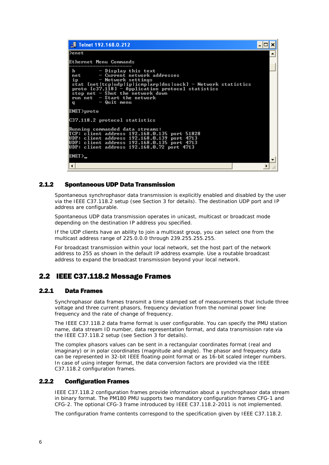| Telnet 192.168.0.212                                                                                                                                                                                                                                                                                         |  |  |  |
|--------------------------------------------------------------------------------------------------------------------------------------------------------------------------------------------------------------------------------------------------------------------------------------------------------------|--|--|--|
| l>enet                                                                                                                                                                                                                                                                                                       |  |  |  |
| Ethernet Menu Commands                                                                                                                                                                                                                                                                                       |  |  |  |
| - Display this text<br>h<br>- Current network addresses<br>net<br>ip<br>$-$ Network settings<br>stat [net]tcp]udp ip icmp]arp dns sock] - Network statistics<br>$proto$ [c37.118] - Application protocol statistics<br>stop net - Shut the network down<br>run net $-$ Start the network<br>- Quit menu<br>q |  |  |  |
| ENET>proto                                                                                                                                                                                                                                                                                                   |  |  |  |
| C37.118.2 protocol statistics                                                                                                                                                                                                                                                                                |  |  |  |
| Running commanded data streams:<br>TCP: client address 192.168.0.135 port 51828<br>UDP: client address 192.168.0.139 port 4713<br>UDP: client address 192.168.0.135 port 4713<br>UDP: client address 192.168.0.72 port 4713                                                                                  |  |  |  |
| ENET >                                                                                                                                                                                                                                                                                                       |  |  |  |
|                                                                                                                                                                                                                                                                                                              |  |  |  |

### 2.1.2 Spontaneous UDP Data Transmission

<span id="page-5-0"></span>Spontaneous synchrophasor data transmission is explicitly enabled and disabled by the user via the IEEE C37.118.2 setup (see Section 3 for details). The destination UDP port and IP address are configurable.

Spontaneous UDP data transmission operates in unicast, multicast or broadcast mode depending on the destination IP address you specified.

If the UDP clients have an ability to join a multicast group, you can select one from the multicast address range of 225.0.0.0 through 239.255.255.255.

For broadcast transmission within your local network, set the host part of the network address to 255 as shown in the default IP address example. Use a routable broadcast address to expand the broadcast transmission beyond your local network.

## <span id="page-5-1"></span>2.2 IEEE C37.118.2 Message Frames

### 2.2.1 Data Frames

<span id="page-5-2"></span>Synchrophasor data frames transmit a time stamped set of measurements that include three voltage and three current phasors, frequency deviation from the nominal power line frequency and the rate of change of frequency.

The IEEE C37.118.2 data frame format is user configurable. You can specify the PMU station name, data stream ID number, data representation format, and data transmission rate via the IEEE C37.118.2 setup (see Section 3 for details).

The complex phasors values can be sent in a rectangular coordinates format (real and imaginary) or in polar coordinates (magnitude and angle). The phasor and frequency data can be represented in 32-bit IEEE floating-point format or as 16-bit scaled integer numbers. In case of using integer format, the data conversion factors are provided via the IEEE C37.118.2 configuration frames.

#### 2.2.2 Configuration Frames

<span id="page-5-3"></span>IEEE C37.118.2 configuration frames provide information about a synchrophasor data stream in binary format. The PM180 PMU supports two mandatory configuration frames CFG-1 and CFG-2. The optional CFG-3 frame introduced by IEEE C37.118.2-2011 is not implemented.

The configuration frame contents correspond to the specification given by IEEE C37.118.2.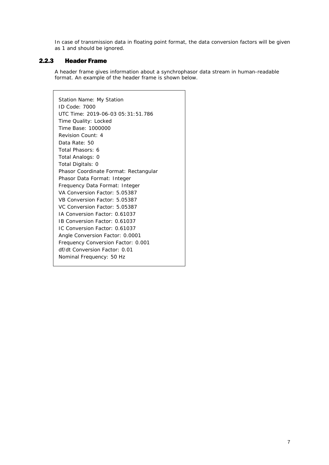In case of transmission data in floating point format, the data conversion factors will be given as 1 and should be ignored.

### 2.2.3 Header Frame

<span id="page-6-0"></span>A header frame gives information about a synchrophasor data stream in human-readable format. An example of the header frame is shown below.

Station Name: My Station ID Code: 7000 UTC Time: 2019-06-03 05:31:51.786 Time Quality: Locked Time Base: 1000000 Revision Count: 4 Data Rate: 50 Total Phasors: 6 Total Analogs: 0 Total Digitals: 0 Phasor Coordinate Format: Rectangular Phasor Data Format: Integer Frequency Data Format: Integer VA Conversion Factor: 5.05387 VB Conversion Factor: 5.05387 VC Conversion Factor: 5.05387 IA Conversion Factor: 0.61037 IB Conversion Factor: 0.61037 IC Conversion Factor: 0.61037 Angle Conversion Factor: 0.0001 Frequency Conversion Factor: 0.001 df/dt Conversion Factor: 0.01 Nominal Frequency: 50 Hz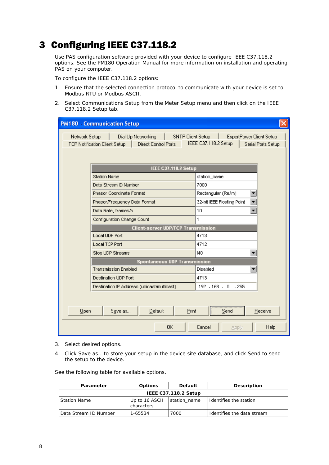# <span id="page-7-0"></span>3 Configuring IEEE C37.118.2

Use PAS configuration software provided with your device to configure IEEE C37.118.2 options. See the PM180 Operation Manual for more information on installation and operating PAS on your computer.

To configure the IEEE C37.118.2 options:

- 1. Ensure that the selected connection protocol to communicate with your device is set to Modbus RTU or Modbus ASCII.
- 2. Select Communications Setup from the Meter Setup menu and then click on the IEEE C37.118.2 Setup tab.

| <b>PM180 - Communication Setup</b>                                                                                       |                                                                               |  |  |  |  |  |  |
|--------------------------------------------------------------------------------------------------------------------------|-------------------------------------------------------------------------------|--|--|--|--|--|--|
| Network Setup<br>Dial-Up Networking<br>SNTP Client Setup<br><b>Direct Control Ports</b><br>TCP Notification Client Setup | <b>ExpertPower Client Setup</b><br>IEEE C37.118.2 Setup<br>Serial Ports Setup |  |  |  |  |  |  |
| IEEE C37.118.2 Setup                                                                                                     |                                                                               |  |  |  |  |  |  |
| <b>Station Name</b>                                                                                                      | station_name                                                                  |  |  |  |  |  |  |
| Data Stream ID Number                                                                                                    | 7000                                                                          |  |  |  |  |  |  |
| Phasor Coordinate Format                                                                                                 | Rectangular (Re/lm)                                                           |  |  |  |  |  |  |
| Phasor/Frequency Data Format                                                                                             | 32-bit IEEE Floating Point                                                    |  |  |  |  |  |  |
| Data Rate, frames/s                                                                                                      | 10                                                                            |  |  |  |  |  |  |
| Configuration Change Count                                                                                               | 1                                                                             |  |  |  |  |  |  |
| Client-server UDP/TCP Transmission                                                                                       |                                                                               |  |  |  |  |  |  |
| Local UDP Port                                                                                                           | 4713                                                                          |  |  |  |  |  |  |
| <b>Local TCP Port</b>                                                                                                    | 4712                                                                          |  |  |  |  |  |  |
| Stop UDP Streams                                                                                                         | NO.                                                                           |  |  |  |  |  |  |
| <b>Spontaneous UDP Transmission</b>                                                                                      |                                                                               |  |  |  |  |  |  |
| <b>Transmission Enabled</b>                                                                                              | <b>Disabled</b>                                                               |  |  |  |  |  |  |
| Destination UDP Port                                                                                                     | 4713                                                                          |  |  |  |  |  |  |
| Destination IP Address (unicast/multicast)                                                                               | 192, 168, 0, 255                                                              |  |  |  |  |  |  |
|                                                                                                                          |                                                                               |  |  |  |  |  |  |
| Default<br>Print<br>Qpen<br>Save as                                                                                      | Send<br>Receive                                                               |  |  |  |  |  |  |
| 0K<br>Cancel<br><b>Help</b><br>Apply                                                                                     |                                                                               |  |  |  |  |  |  |

- 3. Select desired options.
- 4. Click Save as… to store your setup in the device site database, and click Send to send the setup to the device.

See the following table for available options.

| Parameter             | <b>Options</b>               | <b>Default</b> | Description                |  |  |  |  |
|-----------------------|------------------------------|----------------|----------------------------|--|--|--|--|
| IEEE C37.118.2 Setup  |                              |                |                            |  |  |  |  |
| <b>Station Name</b>   | Up to 16 ASCII<br>characters | station name   | Identifies the station     |  |  |  |  |
| Data Stream ID Number | 1-65534                      | 7000           | Identifies the data stream |  |  |  |  |